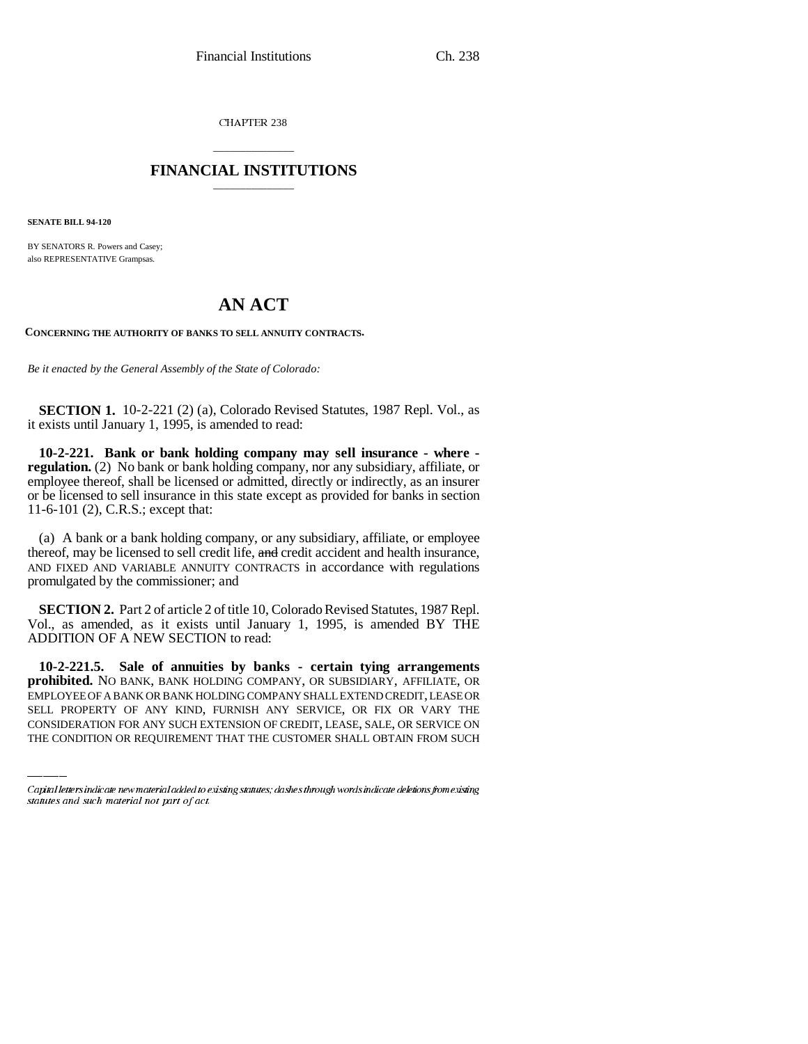CHAPTER 238

### \_\_\_\_\_\_\_\_\_\_\_\_\_\_\_ **FINANCIAL INSTITUTIONS** \_\_\_\_\_\_\_\_\_\_\_\_\_\_\_

**SENATE BILL 94-120**

BY SENATORS R. Powers and Casey; also REPRESENTATIVE Grampsas.

# **AN ACT**

**CONCERNING THE AUTHORITY OF BANKS TO SELL ANNUITY CONTRACTS.**

*Be it enacted by the General Assembly of the State of Colorado:*

**SECTION 1.** 10-2-221 (2) (a), Colorado Revised Statutes, 1987 Repl. Vol., as it exists until January 1, 1995, is amended to read:

**10-2-221. Bank or bank holding company may sell insurance - where regulation.** (2) No bank or bank holding company, nor any subsidiary, affiliate, or employee thereof, shall be licensed or admitted, directly or indirectly, as an insurer or be licensed to sell insurance in this state except as provided for banks in section 11-6-101 (2), C.R.S.; except that:

(a) A bank or a bank holding company, or any subsidiary, affiliate, or employee thereof, may be licensed to sell credit life, and credit accident and health insurance. AND FIXED AND VARIABLE ANNUITY CONTRACTS in accordance with regulations promulgated by the commissioner; and

**SECTION 2.** Part 2 of article 2 of title 10, Colorado Revised Statutes, 1987 Repl. Vol., as amended, as it exists until January 1, 1995, is amended BY THE ADDITION OF A NEW SECTION to read:

 **prohibited.** NO BANK, BANK HOLDING COMPANY, OR SUBSIDIARY, AFFILIATE, OR **10-2-221.5. Sale of annuities by banks - certain tying arrangements** EMPLOYEE OF A BANK OR BANK HOLDING COMPANY SHALL EXTEND CREDIT, LEASE OR SELL PROPERTY OF ANY KIND, FURNISH ANY SERVICE, OR FIX OR VARY THE CONSIDERATION FOR ANY SUCH EXTENSION OF CREDIT, LEASE, SALE, OR SERVICE ON THE CONDITION OR REQUIREMENT THAT THE CUSTOMER SHALL OBTAIN FROM SUCH

Capital letters indicate new material added to existing statutes; dashes through words indicate deletions from existing statutes and such material not part of act.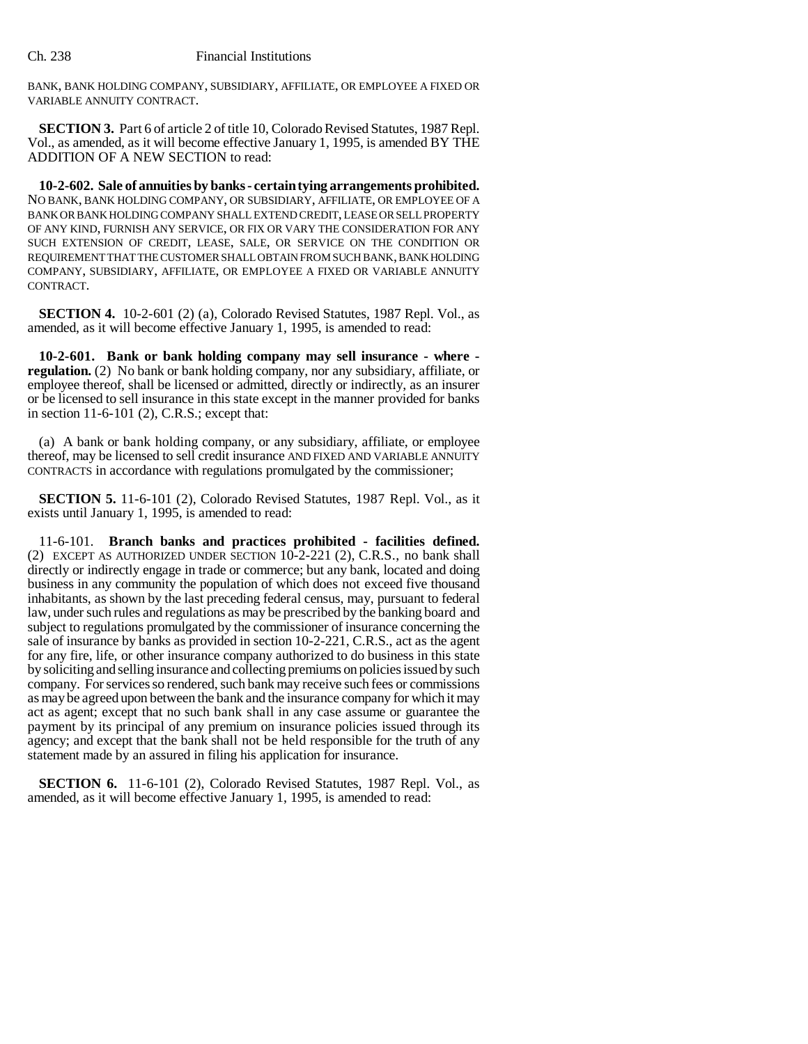BANK, BANK HOLDING COMPANY, SUBSIDIARY, AFFILIATE, OR EMPLOYEE A FIXED OR VARIABLE ANNUITY CONTRACT.

**SECTION 3.** Part 6 of article 2 of title 10, Colorado Revised Statutes, 1987 Repl. Vol., as amended, as it will become effective January 1, 1995, is amended BY THE ADDITION OF A NEW SECTION to read:

**10-2-602. Sale of annuities by banks - certain tying arrangements prohibited.** NO BANK, BANK HOLDING COMPANY, OR SUBSIDIARY, AFFILIATE, OR EMPLOYEE OF A BANK OR BANK HOLDING COMPANY SHALL EXTEND CREDIT, LEASE OR SELL PROPERTY OF ANY KIND, FURNISH ANY SERVICE, OR FIX OR VARY THE CONSIDERATION FOR ANY SUCH EXTENSION OF CREDIT, LEASE, SALE, OR SERVICE ON THE CONDITION OR REQUIREMENT THAT THE CUSTOMER SHALL OBTAIN FROM SUCH BANK, BANK HOLDING COMPANY, SUBSIDIARY, AFFILIATE, OR EMPLOYEE A FIXED OR VARIABLE ANNUITY CONTRACT.

**SECTION 4.** 10-2-601 (2) (a), Colorado Revised Statutes, 1987 Repl. Vol., as amended, as it will become effective January 1, 1995, is amended to read:

**10-2-601. Bank or bank holding company may sell insurance - where regulation.** (2) No bank or bank holding company, nor any subsidiary, affiliate, or employee thereof, shall be licensed or admitted, directly or indirectly, as an insurer or be licensed to sell insurance in this state except in the manner provided for banks in section 11-6-101 (2), C.R.S.; except that:

(a) A bank or bank holding company, or any subsidiary, affiliate, or employee thereof, may be licensed to sell credit insurance AND FIXED AND VARIABLE ANNUITY CONTRACTS in accordance with regulations promulgated by the commissioner;

**SECTION 5.** 11-6-101 (2), Colorado Revised Statutes, 1987 Repl. Vol., as it exists until January 1, 1995, is amended to read:

11-6-101. **Branch banks and practices prohibited - facilities defined.** (2) EXCEPT AS AUTHORIZED UNDER SECTION 10-2-221 (2), C.R.S., no bank shall directly or indirectly engage in trade or commerce; but any bank, located and doing business in any community the population of which does not exceed five thousand inhabitants, as shown by the last preceding federal census, may, pursuant to federal law, under such rules and regulations as may be prescribed by the banking board and subject to regulations promulgated by the commissioner of insurance concerning the sale of insurance by banks as provided in section 10-2-221, C.R.S., act as the agent for any fire, life, or other insurance company authorized to do business in this state by soliciting and selling insurance and collecting premiums on policies issued by such company. For services so rendered, such bank may receive such fees or commissions as may be agreed upon between the bank and the insurance company for which it may act as agent; except that no such bank shall in any case assume or guarantee the payment by its principal of any premium on insurance policies issued through its agency; and except that the bank shall not be held responsible for the truth of any statement made by an assured in filing his application for insurance.

**SECTION 6.** 11-6-101 (2), Colorado Revised Statutes, 1987 Repl. Vol., as amended, as it will become effective January 1, 1995, is amended to read: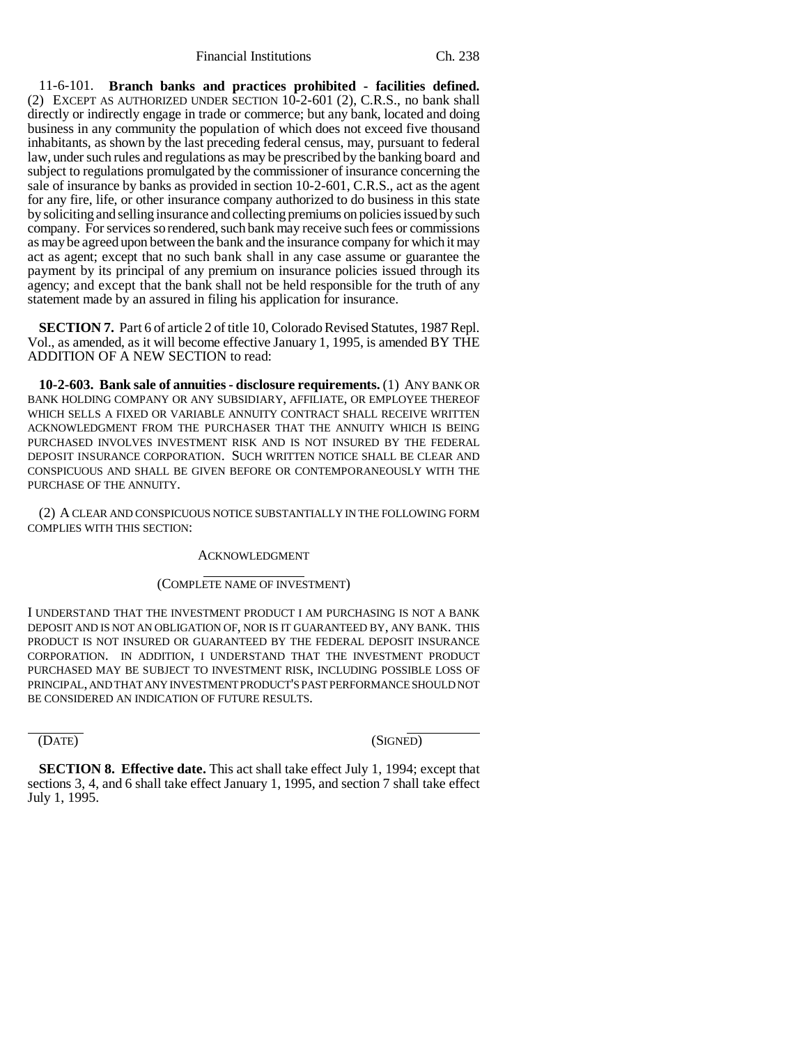Financial Institutions Ch. 238

11-6-101. **Branch banks and practices prohibited - facilities defined.** (2) EXCEPT AS AUTHORIZED UNDER SECTION 10-2-601 (2), C.R.S., no bank shall directly or indirectly engage in trade or commerce; but any bank, located and doing business in any community the population of which does not exceed five thousand inhabitants, as shown by the last preceding federal census, may, pursuant to federal law, under such rules and regulations as may be prescribed by the banking board and subject to regulations promulgated by the commissioner of insurance concerning the sale of insurance by banks as provided in section 10-2-601, C.R.S., act as the agent for any fire, life, or other insurance company authorized to do business in this state by soliciting and selling insurance and collecting premiums on policies issued by such company. For services so rendered, such bank may receive such fees or commissions as may be agreed upon between the bank and the insurance company for which it may act as agent; except that no such bank shall in any case assume or guarantee the payment by its principal of any premium on insurance policies issued through its agency; and except that the bank shall not be held responsible for the truth of any statement made by an assured in filing his application for insurance.

**SECTION 7.** Part 6 of article 2 of title 10, Colorado Revised Statutes, 1987 Repl. Vol., as amended, as it will become effective January 1, 1995, is amended BY THE ADDITION OF A NEW SECTION to read:

**10-2-603. Bank sale of annuities - disclosure requirements.** (1) ANY BANK OR BANK HOLDING COMPANY OR ANY SUBSIDIARY, AFFILIATE, OR EMPLOYEE THEREOF WHICH SELLS A FIXED OR VARIABLE ANNUITY CONTRACT SHALL RECEIVE WRITTEN ACKNOWLEDGMENT FROM THE PURCHASER THAT THE ANNUITY WHICH IS BEING PURCHASED INVOLVES INVESTMENT RISK AND IS NOT INSURED BY THE FEDERAL DEPOSIT INSURANCE CORPORATION. SUCH WRITTEN NOTICE SHALL BE CLEAR AND CONSPICUOUS AND SHALL BE GIVEN BEFORE OR CONTEMPORANEOUSLY WITH THE PURCHASE OF THE ANNUITY.

(2) A CLEAR AND CONSPICUOUS NOTICE SUBSTANTIALLY IN THE FOLLOWING FORM COMPLIES WITH THIS SECTION:

#### ACKNOWLEDGMENT

### $\overline{a}$ (COMPLETE NAME OF INVESTMENT)

I UNDERSTAND THAT THE INVESTMENT PRODUCT I AM PURCHASING IS NOT A BANK DEPOSIT AND IS NOT AN OBLIGATION OF, NOR IS IT GUARANTEED BY, ANY BANK. THIS PRODUCT IS NOT INSURED OR GUARANTEED BY THE FEDERAL DEPOSIT INSURANCE CORPORATION. IN ADDITION, I UNDERSTAND THAT THE INVESTMENT PRODUCT PURCHASED MAY BE SUBJECT TO INVESTMENT RISK, INCLUDING POSSIBLE LOSS OF PRINCIPAL, AND THAT ANY INVESTMENT PRODUCT'S PAST PERFORMANCE SHOULD NOT BE CONSIDERED AN INDICATION OF FUTURE RESULTS.

 $\overline{a}$ 

(DATE) (SIGNED)

**SECTION 8. Effective date.** This act shall take effect July 1, 1994; except that sections 3, 4, and 6 shall take effect January 1, 1995, and section 7 shall take effect July 1, 1995.